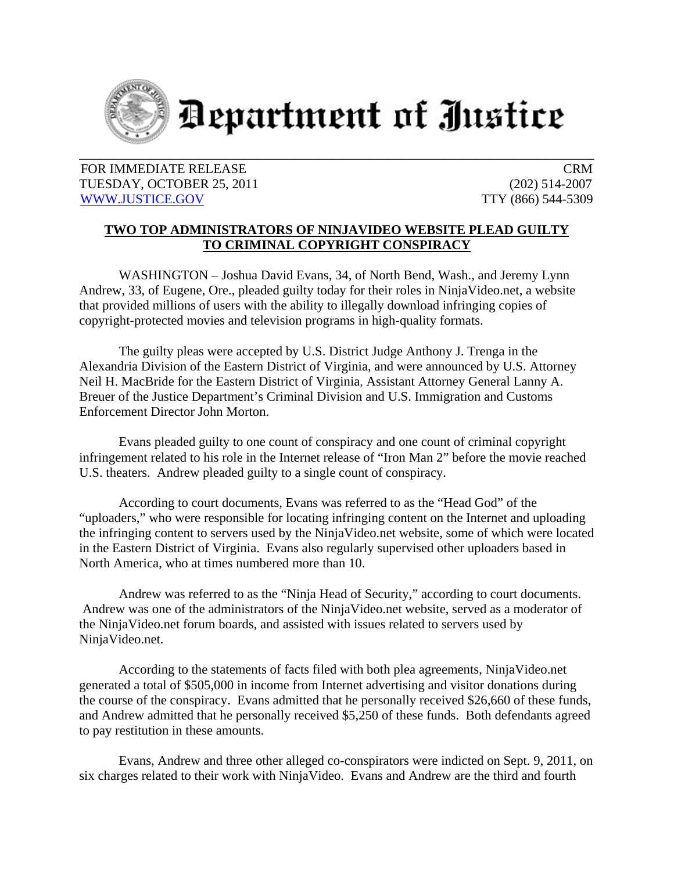

Department of Justice

FOR IMMEDIATE RELEASE CRM TUESDAY, OCTOBER 25, 2011 (202) 514-2007 WWW.JUSTICE.GOV TTY (866) 544-5309

## **TWO TOP ADMINISTRATORS OF NINJAVIDEO WEBSITE PLEAD GUILTY TO CRIMINAL COPYRIGHT CONSPIRACY**

WASHINGTON – Joshua David Evans, 34, of North Bend, Wash., and Jeremy Lynn Andrew, 33, of Eugene, Ore., pleaded guilty today for their roles in NinjaVideo.net, a website that provided millions of users with the ability to illegally download infringing copies of copyright-protected movies and television programs in high-quality formats.

The guilty pleas were accepted by U.S. District Judge Anthony J. Trenga in the Alexandria Division of the Eastern District of Virginia, and were announced by U.S. Attorney Neil H. MacBride for the Eastern District of Virginia, Assistant Attorney General Lanny A. Breuer of the Justice Department's Criminal Division and U.S. Immigration and Customs Enforcement Director John Morton.

Evans pleaded guilty to one count of conspiracy and one count of criminal copyright infringement related to his role in the Internet release of "Iron Man 2" before the movie reached U.S. theaters. Andrew pleaded guilty to a single count of conspiracy.

According to court documents, Evans was referred to as the "Head God" of the "uploaders," who were responsible for locating infringing content on the Internet and uploading the infringing content to servers used by the NinjaVideo.net website, some of which were located in the Eastern District of Virginia. Evans also regularly supervised other uploaders based in North America, who at times numbered more than 10.

Andrew was referred to as the "Ninja Head of Security," according to court documents. Andrew was one of the administrators of the NinjaVideo.net website, served as a moderator of the NinjaVideo.net forum boards, and assisted with issues related to servers used by NinjaVideo.net.

According to the statements of facts filed with both plea agreements, NinjaVideo.net generated a total of \$505,000 in income from Internet advertising and visitor donations during the course of the conspiracy. Evans admitted that he personally received \$26,660 of these funds, and Andrew admitted that he personally received \$5,250 of these funds. Both defendants agreed to pay restitution in these amounts.

Evans, Andrew and three other alleged co-conspirators were indicted on Sept. 9, 2011, on six charges related to their work with NinjaVideo. Evans and Andrew are the third and fourth